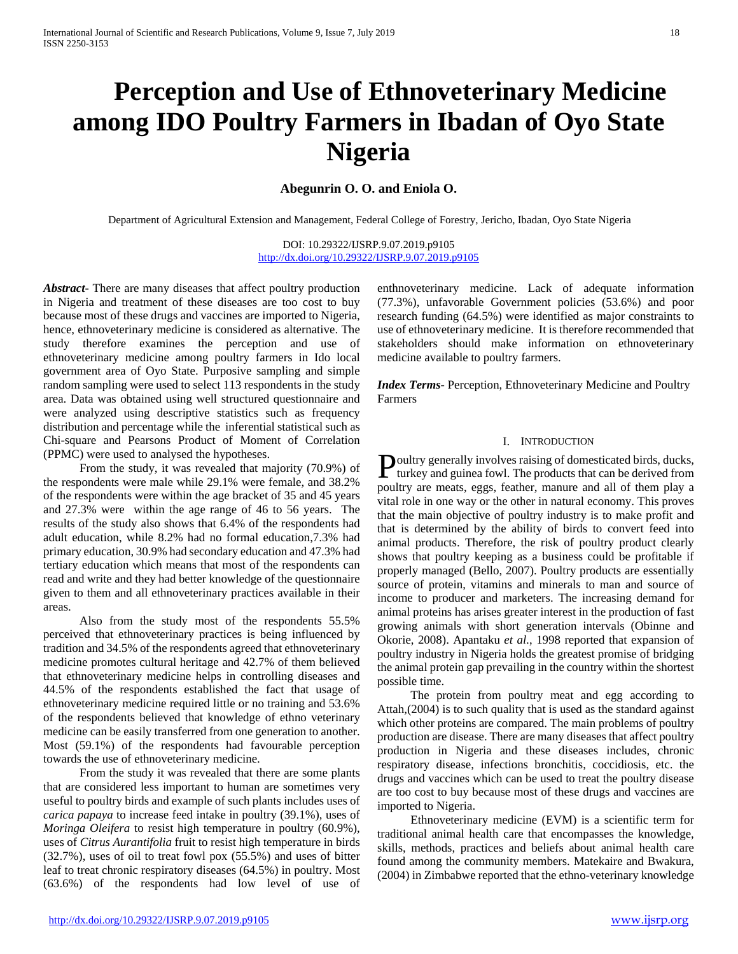# **Perception and Use of Ethnoveterinary Medicine among IDO Poultry Farmers in Ibadan of Oyo State Nigeria**

# **Abegunrin O. O. and Eniola O.**

Department of Agricultural Extension and Management, Federal College of Forestry, Jericho, Ibadan, Oyo State Nigeria

DOI: 10.29322/IJSRP.9.07.2019.p9105 <http://dx.doi.org/10.29322/IJSRP.9.07.2019.p9105>

*Abstract***-** There are many diseases that affect poultry production in Nigeria and treatment of these diseases are too cost to buy because most of these drugs and vaccines are imported to Nigeria, hence, ethnoveterinary medicine is considered as alternative. The study therefore examines the perception and use of ethnoveterinary medicine among poultry farmers in Ido local government area of Oyo State. Purposive sampling and simple random sampling were used to select 113 respondents in the study area. Data was obtained using well structured questionnaire and were analyzed using descriptive statistics such as frequency distribution and percentage while the inferential statistical such as Chi-square and Pearsons Product of Moment of Correlation (PPMC) were used to analysed the hypotheses.

 From the study, it was revealed that majority (70.9%) of the respondents were male while 29.1% were female, and 38.2% of the respondents were within the age bracket of 35 and 45 years and 27.3% were within the age range of 46 to 56 years. The results of the study also shows that 6.4% of the respondents had adult education, while 8.2% had no formal education,7.3% had primary education, 30.9% had secondary education and 47.3% had tertiary education which means that most of the respondents can read and write and they had better knowledge of the questionnaire given to them and all ethnoveterinary practices available in their areas.

 Also from the study most of the respondents 55.5% perceived that ethnoveterinary practices is being influenced by tradition and 34.5% of the respondents agreed that ethnoveterinary medicine promotes cultural heritage and 42.7% of them believed that ethnoveterinary medicine helps in controlling diseases and 44.5% of the respondents established the fact that usage of ethnoveterinary medicine required little or no training and 53.6% of the respondents believed that knowledge of ethno veterinary medicine can be easily transferred from one generation to another. Most (59.1%) of the respondents had favourable perception towards the use of ethnoveterinary medicine.

 From the study it was revealed that there are some plants that are considered less important to human are sometimes very useful to poultry birds and example of such plants includes uses of *carica papaya* to increase feed intake in poultry (39.1%), uses of *Moringa Oleifera* to resist high temperature in poultry (60.9%), uses of *Citrus Aurantifolia* fruit to resist high temperature in birds (32.7%), uses of oil to treat fowl pox (55.5%) and uses of bitter leaf to treat chronic respiratory diseases (64.5%) in poultry. Most (63.6%) of the respondents had low level of use of enthnoveterinary medicine. Lack of adequate information (77.3%), unfavorable Government policies (53.6%) and poor research funding (64.5%) were identified as major constraints to use of ethnoveterinary medicine. It is therefore recommended that stakeholders should make information on ethnoveterinary medicine available to poultry farmers.

*Index Terms*- Perception, Ethnoveterinary Medicine and Poultry Farmers

#### I. INTRODUCTION

oultry generally involves raising of domesticated birds, ducks, Poultry generally involves raising of domesticated birds, ducks,<br>turkey and guinea fowl. The products that can be derived from poultry are meats, eggs, feather, manure and all of them play a vital role in one way or the other in natural economy. This proves that the main objective of poultry industry is to make profit and that is determined by the ability of birds to convert feed into animal products. Therefore, the risk of poultry product clearly shows that poultry keeping as a business could be profitable if properly managed (Bello, 2007). Poultry products are essentially source of protein, vitamins and minerals to man and source of income to producer and marketers. The increasing demand for animal proteins has arises greater interest in the production of fast growing animals with short generation intervals (Obinne and Okorie, 2008). Apantaku *et al*., 1998 reported that expansion of poultry industry in Nigeria holds the greatest promise of bridging the animal protein gap prevailing in the country within the shortest possible time.

 The protein from poultry meat and egg according to Attah,(2004) is to such quality that is used as the standard against which other proteins are compared. The main problems of poultry production are disease. There are many diseases that affect poultry production in Nigeria and these diseases includes, chronic respiratory disease, infections bronchitis, coccidiosis, etc. the drugs and vaccines which can be used to treat the poultry disease are too cost to buy because most of these drugs and vaccines are imported to Nigeria.

 Ethnoveterinary medicine (EVM) is a scientific term for traditional animal health care that encompasses the knowledge, skills, methods, practices and beliefs about animal health care found among the community members. Matekaire and Bwakura, (2004) in Zimbabwe reported that the ethno-veterinary knowledge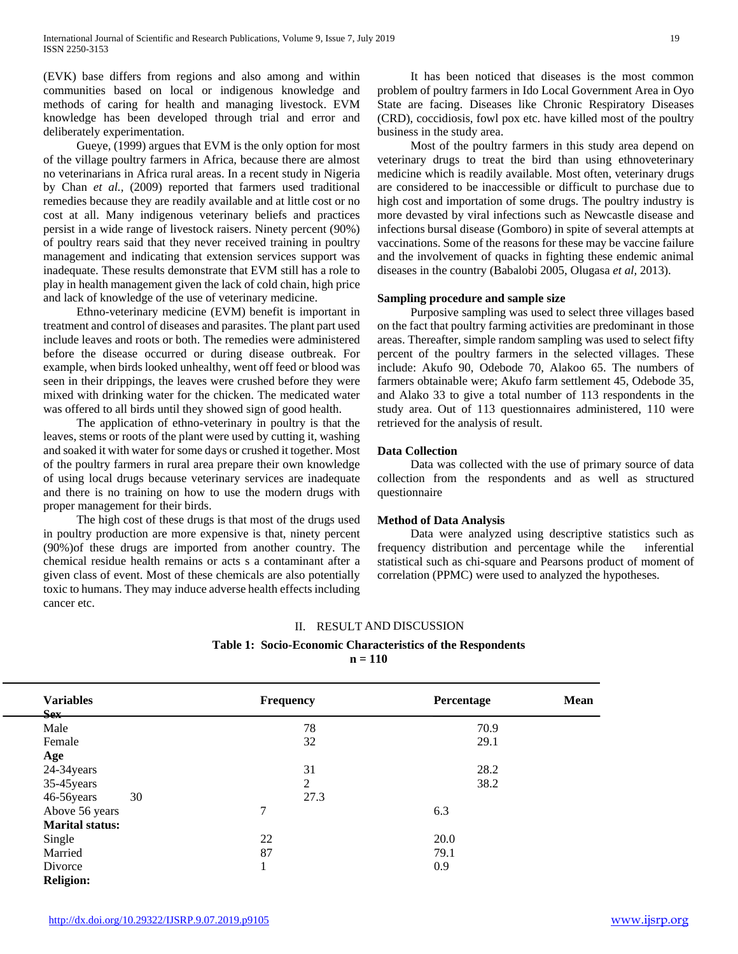(EVK) base differs from regions and also among and within communities based on local or indigenous knowledge and methods of caring for health and managing livestock. EVM knowledge has been developed through trial and error and deliberately experimentation.

 Gueye, (1999) argues that EVM is the only option for most of the village poultry farmers in Africa, because there are almost no veterinarians in Africa rural areas. In a recent study in Nigeria by Chan *et al.,* (2009) reported that farmers used traditional remedies because they are readily available and at little cost or no cost at all. Many indigenous veterinary beliefs and practices persist in a wide range of livestock raisers. Ninety percent (90%) of poultry rears said that they never received training in poultry management and indicating that extension services support was inadequate. These results demonstrate that EVM still has a role to play in health management given the lack of cold chain, high price and lack of knowledge of the use of veterinary medicine.

 Ethno-veterinary medicine (EVM) benefit is important in treatment and control of diseases and parasites. The plant part used include leaves and roots or both. The remedies were administered before the disease occurred or during disease outbreak. For example, when birds looked unhealthy, went off feed or blood was seen in their drippings, the leaves were crushed before they were mixed with drinking water for the chicken. The medicated water was offered to all birds until they showed sign of good health.

 The application of ethno-veterinary in poultry is that the leaves, stems or roots of the plant were used by cutting it, washing and soaked it with water for some days or crushed it together. Most of the poultry farmers in rural area prepare their own knowledge of using local drugs because veterinary services are inadequate and there is no training on how to use the modern drugs with proper management for their birds.

 The high cost of these drugs is that most of the drugs used in poultry production are more expensive is that, ninety percent (90%)of these drugs are imported from another country. The chemical residue health remains or acts s a contaminant after a given class of event. Most of these chemicals are also potentially toxic to humans. They may induce adverse health effects including cancer etc.

 It has been noticed that diseases is the most common problem of poultry farmers in Ido Local Government Area in Oyo State are facing. Diseases like Chronic Respiratory Diseases (CRD), coccidiosis, fowl pox etc. have killed most of the poultry business in the study area.

 Most of the poultry farmers in this study area depend on veterinary drugs to treat the bird than using ethnoveterinary medicine which is readily available. Most often, veterinary drugs are considered to be inaccessible or difficult to purchase due to high cost and importation of some drugs. The poultry industry is more devasted by viral infections such as Newcastle disease and infections bursal disease (Gomboro) in spite of several attempts at vaccinations. Some of the reasons for these may be vaccine failure and the involvement of quacks in fighting these endemic animal diseases in the country (Babalobi 2005, Olugasa *et al,* 2013).

## **Sampling procedure and sample size**

 Purposive sampling was used to select three villages based on the fact that poultry farming activities are predominant in those areas. Thereafter, simple random sampling was used to select fifty percent of the poultry farmers in the selected villages. These include: Akufo 90, Odebode 70, Alakoo 65. The numbers of farmers obtainable were; Akufo farm settlement 45, Odebode 35, and Alako 33 to give a total number of 113 respondents in the study area. Out of 113 questionnaires administered, 110 were retrieved for the analysis of result.

## **Data Collection**

 Data was collected with the use of primary source of data collection from the respondents and as well as structured questionnaire

## **Method of Data Analysis**

 Data were analyzed using descriptive statistics such as frequency distribution and percentage while the inferential statistical such as chi-square and Pearsons product of moment of correlation (PPMC) were used to analyzed the hypotheses.

## II. RESULT AND DISCUSSION

**Table 1: Socio-Economic Characteristics of the Respondents**

**n = 110**

| <b>Variables</b><br><b>Sex</b> | <b>Frequency</b> | <b>Percentage</b> | <b>Mean</b> |
|--------------------------------|------------------|-------------------|-------------|
| Male                           | 78               | 70.9              |             |
| Female                         | 32               | 29.1              |             |
| Age                            |                  |                   |             |
| 24-34years                     | 31               | 28.2              |             |
| 35-45 years                    | 2                | 38.2              |             |
| 46-56years<br>30               | 27.3             |                   |             |
| Above 56 years                 | 7                | 6.3               |             |
| <b>Marital status:</b>         |                  |                   |             |
| Single                         | 22               | 20.0              |             |
| Married                        | 87               | 79.1              |             |
| Divorce                        | 1                | 0.9               |             |
| <b>Religion:</b>               |                  |                   |             |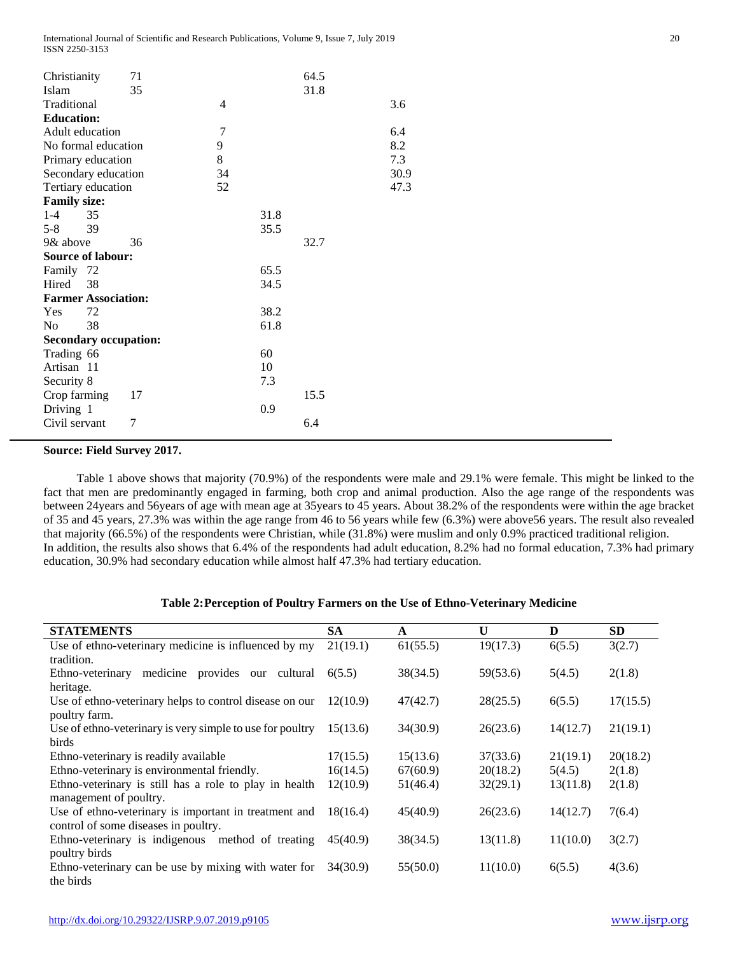| Christianity               | 71                           |                |      | 64.5 |      |
|----------------------------|------------------------------|----------------|------|------|------|
| Islam                      | 35                           |                |      | 31.8 |      |
| Traditional                |                              | $\overline{4}$ |      |      | 3.6  |
| <b>Education:</b>          |                              |                |      |      |      |
| Adult education            |                              | $\overline{7}$ |      |      | 6.4  |
| No formal education        |                              | 9              |      |      | 8.2  |
| Primary education          |                              | 8              |      |      | 7.3  |
| Secondary education        |                              | 34             |      |      | 30.9 |
| Tertiary education         |                              | 52             |      |      | 47.3 |
| <b>Family size:</b>        |                              |                |      |      |      |
| $1 - 4$<br>35              |                              |                | 31.8 |      |      |
| $5 - 8$<br>39              |                              |                | 35.5 |      |      |
| 9& above                   | 36                           |                |      | 32.7 |      |
| <b>Source of labour:</b>   |                              |                |      |      |      |
| Family 72                  |                              |                | 65.5 |      |      |
| Hired<br>38                |                              |                | 34.5 |      |      |
| <b>Farmer Association:</b> |                              |                |      |      |      |
| 72<br>Yes                  |                              |                | 38.2 |      |      |
| N <sub>0</sub><br>38       |                              |                | 61.8 |      |      |
|                            | <b>Secondary occupation:</b> |                |      |      |      |
| Trading 66                 |                              |                | 60   |      |      |
| Artisan 11                 |                              |                | 10   |      |      |
| Security 8                 |                              |                | 7.3  |      |      |
| Crop farming               | 17                           |                |      | 15.5 |      |
| Driving 1                  |                              |                | 0.9  |      |      |
| Civil servant              | 7                            |                |      | 6.4  |      |

## **Source: Field Survey 2017.**

 Table 1 above shows that majority (70.9%) of the respondents were male and 29.1% were female. This might be linked to the fact that men are predominantly engaged in farming, both crop and animal production. Also the age range of the respondents was between 24years and 56years of age with mean age at 35years to 45 years. About 38.2% of the respondents were within the age bracket of 35 and 45 years, 27.3% was within the age range from 46 to 56 years while few (6.3%) were above56 years. The result also revealed that majority (66.5%) of the respondents were Christian, while (31.8%) were muslim and only 0.9% practiced traditional religion. In addition, the results also shows that 6.4% of the respondents had adult education, 8.2% had no formal education, 7.3% had primary education, 30.9% had secondary education while almost half 47.3% had tertiary education.

## **Table 2:Perception of Poultry Farmers on the Use of Ethno-Veterinary Medicine**

| <b>STATEMENTS</b>                                         | <b>SA</b> | A        | U        | D        | <b>SD</b> |
|-----------------------------------------------------------|-----------|----------|----------|----------|-----------|
| Use of ethno-veterinary medicine is influenced by my      | 21(19.1)  | 61(55.5) | 19(17.3) | 6(5.5)   | 3(2.7)    |
| tradition.                                                |           |          |          |          |           |
| medicine provides our cultural<br>Ethno-veterinary        | 6(5.5)    | 38(34.5) | 59(53.6) | 5(4.5)   | 2(1.8)    |
| heritage.                                                 |           |          |          |          |           |
| Use of ethno-veterinary helps to control disease on our   | 12(10.9)  | 47(42.7) | 28(25.5) | 6(5.5)   | 17(15.5)  |
| poultry farm.                                             |           |          |          |          |           |
| Use of ethno-veterinary is very simple to use for poultry | 15(13.6)  | 34(30.9) | 26(23.6) | 14(12.7) | 21(19.1)  |
| birds                                                     |           |          |          |          |           |
| Ethno-veterinary is readily available                     | 17(15.5)  | 15(13.6) | 37(33.6) | 21(19.1) | 20(18.2)  |
| Ethno-veterinary is environmental friendly.               | 16(14.5)  | 67(60.9) | 20(18.2) | 5(4.5)   | 2(1.8)    |
| Ethno-veterinary is still has a role to play in health    | 12(10.9)  | 51(46.4) | 32(29.1) | 13(11.8) | 2(1.8)    |
| management of poultry.                                    |           |          |          |          |           |
| Use of ethno-veterinary is important in treatment and     | 18(16.4)  | 45(40.9) | 26(23.6) | 14(12.7) | 7(6.4)    |
| control of some diseases in poultry.                      |           |          |          |          |           |
| Ethno-veterinary is indigenous method of treating         | 45(40.9)  | 38(34.5) | 13(11.8) | 11(10.0) | 3(2.7)    |
| poultry birds                                             |           |          |          |          |           |
| Ethno-veterinary can be use by mixing with water for      | 34(30.9)  | 55(50.0) | 11(10.0) | 6(5.5)   | 4(3.6)    |
| the birds                                                 |           |          |          |          |           |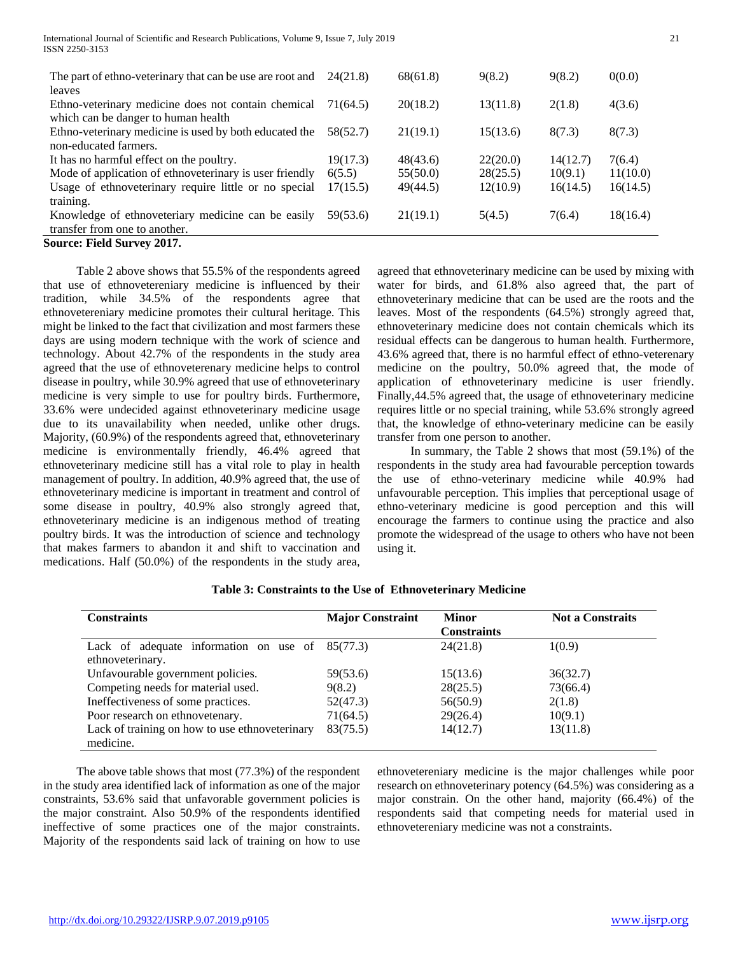| The part of ethno-veterinary that can be use are root and<br>leaves                           | 24(21.8) | 68(61.8) | 9(8.2)   | 9(8.2)   | 0(0.0)   |
|-----------------------------------------------------------------------------------------------|----------|----------|----------|----------|----------|
| Ethno-veterinary medicine does not contain chemical                                           | 71(64.5) | 20(18.2) | 13(11.8) | 2(1.8)   | 4(3.6)   |
| which can be danger to human health<br>Ethno-veterinary medicine is used by both educated the | 58(52.7) | 21(19.1) | 15(13.6) | 8(7.3)   | 8(7.3)   |
| non-educated farmers.                                                                         |          |          |          |          |          |
| It has no harmful effect on the poultry.                                                      | 19(17.3) | 48(43.6) | 22(20.0) | 14(12.7) | 7(6.4)   |
| Mode of application of ethnoveterinary is user friendly                                       | 6(5.5)   | 55(50.0) | 28(25.5) | 10(9.1)  | 11(10.0) |
| Usage of ethnoveterinary require little or no special<br>training.                            | 17(15.5) | 49(44.5) | 12(10.9) | 16(14.5) | 16(14.5) |
| Knowledge of ethnoveteriary medicine can be easily<br>transfer from one to another.           | 59(53.6) | 21(19.1) | 5(4.5)   | 7(6.4)   | 18(16.4) |
| <b>Source: Field Survey 2017.</b>                                                             |          |          |          |          |          |

 Table 2 above shows that 55.5% of the respondents agreed that use of ethnovetereniary medicine is influenced by their tradition, while 34.5% of the respondents agree that ethnovetereniary medicine promotes their cultural heritage. This might be linked to the fact that civilization and most farmers these days are using modern technique with the work of science and technology. About 42.7% of the respondents in the study area agreed that the use of ethnoveterenary medicine helps to control disease in poultry, while 30.9% agreed that use of ethnoveterinary medicine is very simple to use for poultry birds. Furthermore, 33.6% were undecided against ethnoveterinary medicine usage due to its unavailability when needed, unlike other drugs. Majority, (60.9%) of the respondents agreed that, ethnoveterinary medicine is environmentally friendly, 46.4% agreed that ethnoveterinary medicine still has a vital role to play in health management of poultry. In addition, 40.9% agreed that, the use of ethnoveterinary medicine is important in treatment and control of some disease in poultry, 40.9% also strongly agreed that, ethnoveterinary medicine is an indigenous method of treating poultry birds. It was the introduction of science and technology that makes farmers to abandon it and shift to vaccination and medications. Half (50.0%) of the respondents in the study area,

agreed that ethnoveterinary medicine can be used by mixing with water for birds, and 61.8% also agreed that, the part of ethnoveterinary medicine that can be used are the roots and the leaves. Most of the respondents (64.5%) strongly agreed that, ethnoveterinary medicine does not contain chemicals which its residual effects can be dangerous to human health. Furthermore, 43.6% agreed that, there is no harmful effect of ethno-veterenary medicine on the poultry, 50.0% agreed that, the mode of application of ethnoveterinary medicine is user friendly. Finally,44.5% agreed that, the usage of ethnoveterinary medicine requires little or no special training, while 53.6% strongly agreed that, the knowledge of ethno-veterinary medicine can be easily transfer from one person to another.

 In summary, the Table 2 shows that most (59.1%) of the respondents in the study area had favourable perception towards the use of ethno-veterinary medicine while 40.9% had unfavourable perception. This implies that perceptional usage of ethno-veterinary medicine is good perception and this will encourage the farmers to continue using the practice and also promote the widespread of the usage to others who have not been using it.

| <b>Constraints</b>                                | <b>Major Constraint</b> | <b>Minor</b>       | <b>Not a Constraits</b> |
|---------------------------------------------------|-------------------------|--------------------|-------------------------|
|                                                   |                         | <b>Constraints</b> |                         |
| Lack of adequate information on use of $85(77.3)$ |                         | 24(21.8)           | 1(0.9)                  |
| ethnoveterinary.                                  |                         |                    |                         |
| Unfavourable government policies.                 | 59(53.6)                | 15(13.6)           | 36(32.7)                |
| Competing needs for material used.                | 9(8.2)                  | 28(25.5)           | 73(66.4)                |
| Ineffectiveness of some practices.                | 52(47.3)                | 56(50.9)           | 2(1.8)                  |
| Poor research on ethnovetenary.                   | 71(64.5)                | 29(26.4)           | 10(9.1)                 |
| Lack of training on how to use ethnoveterinary    | 83(75.5)                | 14(12.7)           | 13(11.8)                |
| medicine.                                         |                         |                    |                         |

## **Table 3: Constraints to the Use of Ethnoveterinary Medicine**

 The above table shows that most (77.3%) of the respondent in the study area identified lack of information as one of the major constraints, 53.6% said that unfavorable government policies is the major constraint. Also 50.9% of the respondents identified ineffective of some practices one of the major constraints. Majority of the respondents said lack of training on how to use ethnovetereniary medicine is the major challenges while poor research on ethnoveterinary potency (64.5%) was considering as a major constrain. On the other hand, majority (66.4%) of the respondents said that competing needs for material used in ethnovetereniary medicine was not a constraints.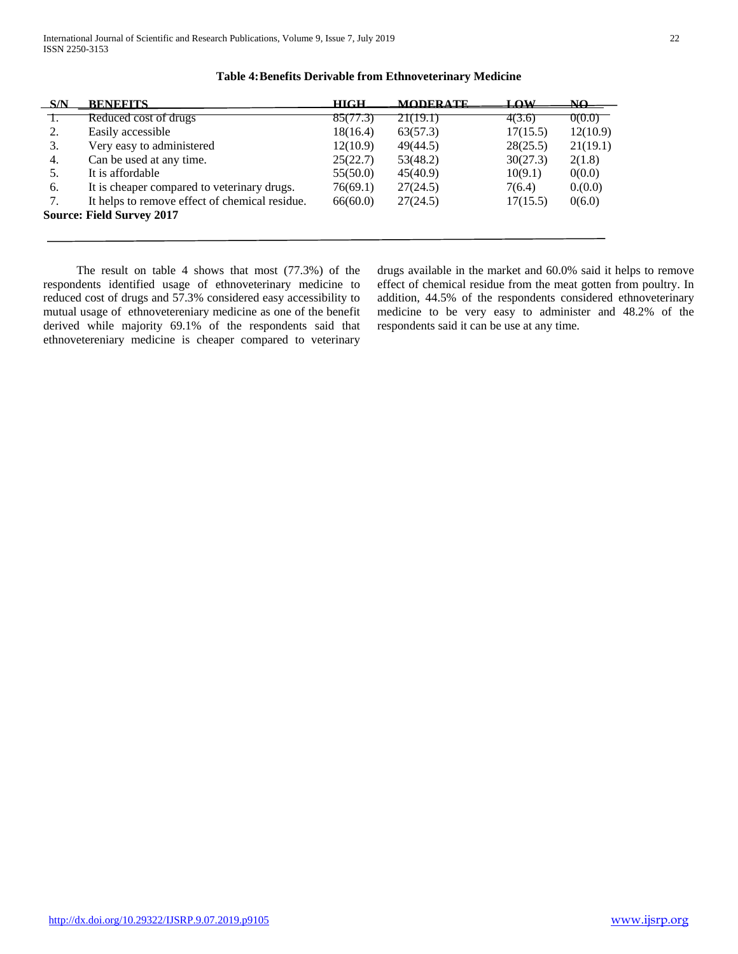| S/N | <b>BENEFITS</b>                                | <b>HIGH</b> | <b>MODERATE</b> | LOW      | NΩ       |
|-----|------------------------------------------------|-------------|-----------------|----------|----------|
|     | Reduced cost of drugs                          | 85(77.3)    | 21(19.1)        | 4(3.6)   | 0(0.0)   |
| 2.  | Easily accessible                              | 18(16.4)    | 63(57.3)        | 17(15.5) | 12(10.9) |
| 3.  | Very easy to administered                      | 12(10.9)    | 49(44.5)        | 28(25.5) | 21(19.1) |
| 4.  | Can be used at any time.                       | 25(22.7)    | 53(48.2)        | 30(27.3) | 2(1.8)   |
| 5.  | It is affordable                               | 55(50.0)    | 45(40.9)        | 10(9.1)  | 0(0.0)   |
| 6.  | It is cheaper compared to veterinary drugs.    | 76(69.1)    | 27(24.5)        | 7(6.4)   | 0.000    |
| 7.  | It helps to remove effect of chemical residue. | 66(60.0)    | 27(24.5)        | 17(15.5) | 0(6.0)   |
|     | <b>Source: Field Survey 2017</b>               |             |                 |          |          |
|     |                                                |             |                 |          |          |

# **Table 4:Benefits Derivable from Ethnoveterinary Medicine**

 The result on table 4 shows that most (77.3%) of the respondents identified usage of ethnoveterinary medicine to reduced cost of drugs and 57.3% considered easy accessibility to mutual usage of ethnovetereniary medicine as one of the benefit derived while majority 69.1% of the respondents said that ethnovetereniary medicine is cheaper compared to veterinary drugs available in the market and 60.0% said it helps to remove effect of chemical residue from the meat gotten from poultry. In addition, 44.5% of the respondents considered ethnoveterinary medicine to be very easy to administer and 48.2% of the respondents said it can be use at any time.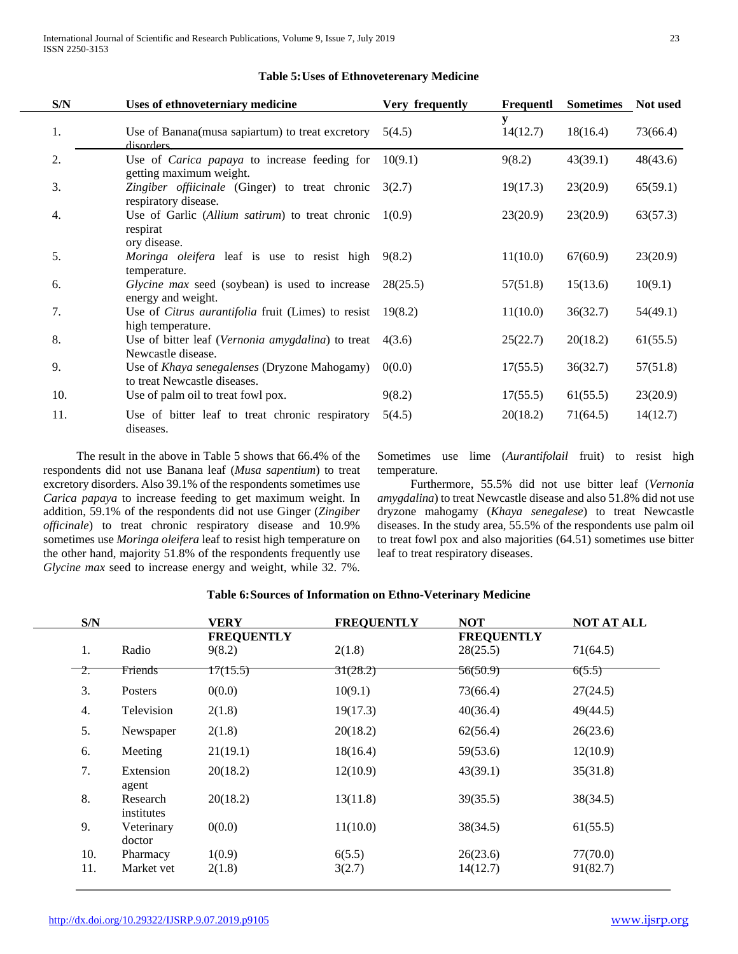| S/N | Uses of ethnoveterniary medicine                                               | Very frequently | Frequentl     | <b>Sometimes</b> | Not used |
|-----|--------------------------------------------------------------------------------|-----------------|---------------|------------------|----------|
| 1.  | Use of Banana(musa sapiartum) to treat excretory<br>disorders                  | 5(4.5)          | у<br>14(12.7) | 18(16.4)         | 73(66.4) |
| 2.  | Use of <i>Carica papaya</i> to increase feeding for<br>getting maximum weight. | 10(9.1)         | 9(8.2)        | 43(39.1)         | 48(43.6) |
| 3.  | Zingiber officinale (Ginger) to treat chronic<br>respiratory disease.          | 3(2.7)          | 19(17.3)      | 23(20.9)         | 65(59.1) |
| 4.  | Use of Garlic (Allium satirum) to treat chronic<br>respirat<br>ory disease.    | 1(0.9)          | 23(20.9)      | 23(20.9)         | 63(57.3) |
| 5.  | Moringa oleifera leaf is use to resist high<br>temperature.                    | 9(8.2)          | 11(10.0)      | 67(60.9)         | 23(20.9) |
| 6.  | <i>Glycine max</i> seed (soybean) is used to increase<br>energy and weight.    | 28(25.5)        | 57(51.8)      | 15(13.6)         | 10(9.1)  |
| 7.  | Use of <i>Citrus aurantifolia</i> fruit (Limes) to resist<br>high temperature. | 19(8.2)         | 11(10.0)      | 36(32.7)         | 54(49.1) |
| 8.  | Use of bitter leaf (Vernonia amygdalina) to treat<br>Newcastle disease.        | 4(3.6)          | 25(22.7)      | 20(18.2)         | 61(55.5) |
| 9.  | Use of Khaya senegalenses (Dryzone Mahogamy)<br>to treat Newcastle diseases.   | 0(0.0)          | 17(55.5)      | 36(32.7)         | 57(51.8) |
| 10. | Use of palm oil to treat fowl pox.                                             | 9(8.2)          | 17(55.5)      | 61(55.5)         | 23(20.9) |
| 11. | Use of bitter leaf to treat chronic respiratory<br>diseases.                   | 5(4.5)          | 20(18.2)      | 71(64.5)         | 14(12.7) |

## **Table 5:Uses of Ethnoveterenary Medicine**

 The result in the above in Table 5 shows that 66.4% of the respondents did not use Banana leaf (*Musa sapentium*) to treat excretory disorders. Also 39.1% of the respondents sometimes use *Carica papaya* to increase feeding to get maximum weight. In addition, 59.1% of the respondents did not use Ginger (*Zingiber officinale*) to treat chronic respiratory disease and 10.9% sometimes use *Moringa oleifera* leaf to resist high temperature on the other hand, majority 51.8% of the respondents frequently use *Glycine max* seed to increase energy and weight, while 32. 7%. Sometimes use lime (*Aurantifolail* fruit) to resist high temperature.

 Furthermore, 55.5% did not use bitter leaf (*Vernonia amygdalina*) to treat Newcastle disease and also 51.8% did not use dryzone mahogamy (*Khaya senegalese*) to treat Newcastle diseases. In the study area, 55.5% of the respondents use palm oil to treat fowl pox and also majorities (64.51) sometimes use bitter leaf to treat respiratory diseases.

| <b>Table 6: Sources of Information on Ethno-Veterinary Medicine</b> |  |
|---------------------------------------------------------------------|--|
|---------------------------------------------------------------------|--|

|                            | S/N                    | <b>VERY</b>                 | <b>FREQUENTLY</b> | <b>NOT</b>                    | <b>NOT AT ALL</b> |
|----------------------------|------------------------|-----------------------------|-------------------|-------------------------------|-------------------|
| 1.                         | Radio                  | <b>FREQUENTLY</b><br>9(8.2) | 2(1.8)            | <b>FREQUENTLY</b><br>28(25.5) | 71(64.5)          |
| <sup>-</sup> <sup>2.</sup> | Friends                | 17(15.5)                    | 31(28.2)          | 56(50.9)                      | 6(5.5)            |
| 3.                         | Posters                | 0(0.0)                      | 10(9.1)           | 73(66.4)                      | 27(24.5)          |
| 4.                         | Television             | 2(1.8)                      | 19(17.3)          | 40(36.4)                      | 49(44.5)          |
| 5.                         | Newspaper              | 2(1.8)                      | 20(18.2)          | 62(56.4)                      | 26(23.6)          |
| 6.                         | Meeting                | 21(19.1)                    | 18(16.4)          | 59(53.6)                      | 12(10.9)          |
| 7.                         | Extension<br>agent     | 20(18.2)                    | 12(10.9)          | 43(39.1)                      | 35(31.8)          |
| 8.                         | Research<br>institutes | 20(18.2)                    | 13(11.8)          | 39(35.5)                      | 38(34.5)          |
| 9.                         | Veterinary<br>doctor   | 0(0.0)                      | 11(10.0)          | 38(34.5)                      | 61(55.5)          |
| 10.                        | Pharmacy               | 1(0.9)                      | 6(5.5)            | 26(23.6)                      | 77(70.0)          |
| 11.                        | Market vet             | 2(1.8)                      | 3(2.7)            | 14(12.7)                      | 91(82.7)          |